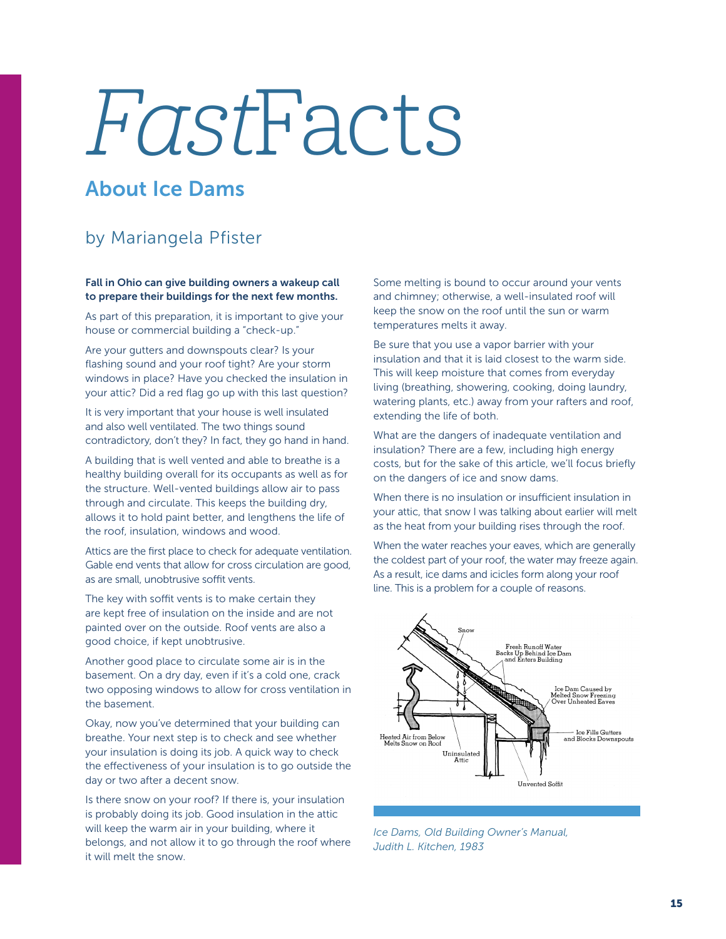## FastFacts

## About Ice Dams

## by Mariangela Pfister

Fall in Ohio can give building owners a wakeup call to prepare their buildings for the next few months.

As part of this preparation, it is important to give your house or commercial building a "check-up."

Are your gutters and downspouts clear? Is your flashing sound and your roof tight? Are your storm windows in place? Have you checked the insulation in your attic? Did a red flag go up with this last question?

It is very important that your house is well insulated and also well ventilated. The two things sound contradictory, don't they? In fact, they go hand in hand.

A building that is well vented and able to breathe is a healthy building overall for its occupants as well as for the structure. Well-vented buildings allow air to pass through and circulate. This keeps the building dry, allows it to hold paint better, and lengthens the life of the roof, insulation, windows and wood.

Attics are the first place to check for adequate ventilation. Gable end vents that allow for cross circulation are good, as are small, unobtrusive soffit vents.

The key with soffit vents is to make certain they are kept free of insulation on the inside and are not painted over on the outside. Roof vents are also a good choice, if kept unobtrusive.

Another good place to circulate some air is in the basement. On a dry day, even if it's a cold one, crack two opposing windows to allow for cross ventilation in the basement.

Okay, now you've determined that your building can breathe. Your next step is to check and see whether your insulation is doing its job. A quick way to check the effectiveness of your insulation is to go outside the day or two after a decent snow.

Is there snow on your roof? If there is, your insulation is probably doing its job. Good insulation in the attic will keep the warm air in your building, where it belongs, and not allow it to go through the roof where it will melt the snow.

Some melting is bound to occur around your vents and chimney; otherwise, a well-insulated roof will keep the snow on the roof until the sun or warm temperatures melts it away.

Be sure that you use a vapor barrier with your insulation and that it is laid closest to the warm side. This will keep moisture that comes from everyday living (breathing, showering, cooking, doing laundry, watering plants, etc.) away from your rafters and roof, extending the life of both.

What are the dangers of inadequate ventilation and insulation? There are a few, including high energy costs, but for the sake of this article, we'll focus briefly on the dangers of ice and snow dams.

When there is no insulation or insufficient insulation in your attic, that snow I was talking about earlier will melt as the heat from your building rises through the roof.

When the water reaches your eaves, which are generally the coldest part of your roof, the water may freeze again. As a result, ice dams and icicles form along your roof line. This is a problem for a couple of reasons.



*Ice Dams, Old Building Owner's Manual, Judith L. Kitchen, 1983*